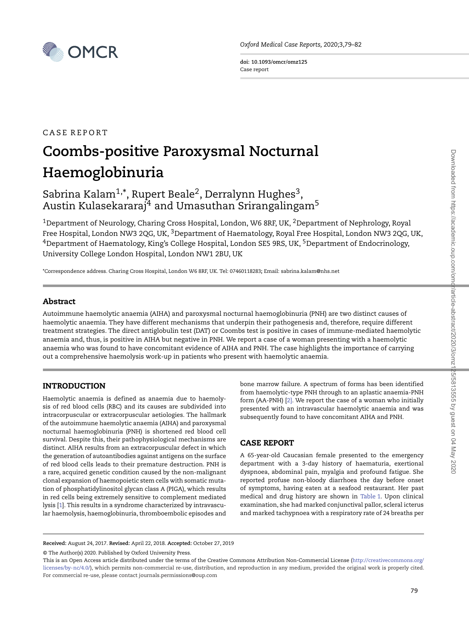

Oxford Medical Case Reports, 2020;3,79–82

doi: 10.1093/omcr/omz125 Case report

# CASE REPORT Coombs-positive Paroxysmal Nocturnal Haemoglobinuria

# Sabrina Kalam $^{1,\ast}$ , Rupert Beale $^2$ , Derralynn Hughes $^3$ , Austin Kulasekararaj<sup>4</sup> and Umasuthan Srirangalingam<sup>5</sup>

<sup>1</sup>Department of Neurology, Charing Cross Hospital, London, W6 8RF, UK, <sup>2</sup>Department of Nephrology, Royal Free Hospital, London NW3 2QG, UK, <sup>3</sup>Department of Haematology, Royal Free Hospital, London NW3 2QG, UK, <sup>4</sup>Department of Haematology, King's College Hospital, London SE5 9RS, UK, <sup>5</sup>Department of Endocrinology, University College London Hospital, London NW1 2BU, UK

\*Correspondence address. Charing Cross Hospital, London W6 8RF, UK. Tel: 07460118283; Email: sabrina.kalam@nhs.net

#### Abstract

Autoimmune haemolytic anaemia (AIHA) and paroxysmal nocturnal haemoglobinuria (PNH) are two distinct causes of haemolytic anaemia. They have different mechanisms that underpin their pathogenesis and, therefore, require different treatment strategies. The direct antiglobulin test (DAT) or Coombs test is positive in cases of immune-mediated haemolytic anaemia and, thus, is positive in AIHA but negative in PNH. We report a case of a woman presenting with a haemolytic anaemia who was found to have concomitant evidence of AIHA and PNH. The case highlights the importance of carrying out a comprehensive haemolysis work-up in patients who present with haemolytic anaemia.

# INTRODUCTION

Haemolytic anaemia is defined as anaemia due to haemolysis of red blood cells (RBC) and its causes are subdivided into intracorpuscular or extracorpuscular aetiologies. The hallmark of the autoimmune haemolytic anaemia (AIHA) and paroxysmal nocturnal haemoglobinuria (PNH) is shortened red blood cell survival. Despite this, their pathophysiological mechanisms are distinct. AIHA results from an extracorpuscular defect in which the generation of autoantibodies against antigens on the surface of red blood cells leads to their premature destruction. PNH is a rare, acquired genetic condition caused by the non-malignant clonal expansion of haemopoietic stem cells with somatic mutation of phosphatidylinositol glycan class A (PIGA), which results in red cells being extremely sensitive to complement mediated lysis [\[1\]](#page-3-0). This results in a syndrome characterized by intravascular haemolysis, haemoglobinuria, thromboembolic episodes and bone marrow failure. A spectrum of forms has been identified from haemolytic-type PNH through to an aplastic anaemia-PNH form (AA-PNH) [\[2\].](#page-3-1) We report the case of a woman who initially presented with an intravascular haemolytic anaemia and was subsequently found to have concomitant AIHA and PNH.

#### CASE REPORT

A 65-year-old Caucasian female presented to the emergency department with a 3-day history of haematuria, exertional dyspnoea, abdominal pain, myalgia and profound fatigue. She reported profuse non-bloody diarrhoea the day before onset of symptoms, having eaten at a seafood restaurant. Her past medical and drug history are shown in [Table 1.](#page-1-0) Upon clinical examination, she had marked conjunctival pallor, scleral icterus and marked tachypnoea with a respiratory rate of 24 breaths per

Downloaded from https://academic.oup.com/omd/article-abstract/2020/3/omz125/5813555 by guest on 04 May 2020 Downloaded from https://academic.oup.com/omcr/article-abstract/2020/3/omz125/5813555 by guest on 04 May 2020

© The Author(s) 2020. Published by Oxford University Press.

Received: August 24, 2017. Revised: April 22, 2018. Accepted: October 27, 2019

This is an Open Access article distributed under the terms of the Creative Commons Attribution Non-Commercial License [\(http://creativecommons.org/](http://creativecommons.org/licenses/by-nc/4.0/) [licenses/by-nc/4.0/\)](http://creativecommons.org/licenses/by-nc/4.0/), which permits non-commercial re-use, distribution, and reproduction in any medium, provided the original work is properly cited. For commercial re-use, please contact journals.permissions@oup.com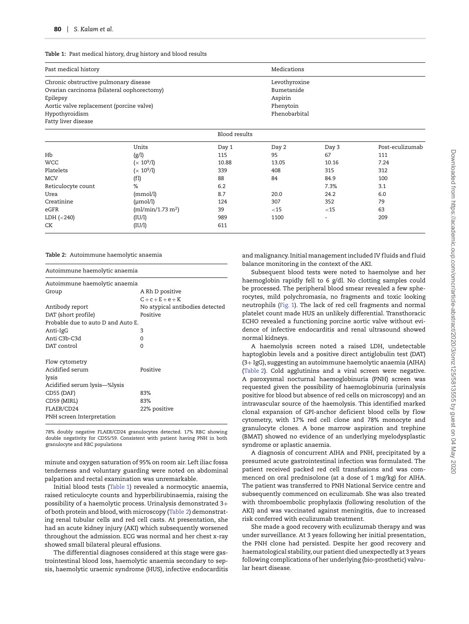<span id="page-1-0"></span>Table 1: Past medical history, drug history and blood results

| Past medical history                                                                                                                                                                 | Medications<br>Levothyroxine<br>Bumetanide<br>Aspirin<br>Phenytoin<br>Phenobarbital |               |        |        |                 |
|--------------------------------------------------------------------------------------------------------------------------------------------------------------------------------------|-------------------------------------------------------------------------------------|---------------|--------|--------|-----------------|
| Chronic obstructive pulmonary disease<br>Ovarian carcinoma (bilateral oophorectomy)<br>Epilepsy<br>Aortic valve replacement (porcine valve)<br>Hypothyroidism<br>Fatty liver disease |                                                                                     |               |        |        |                 |
|                                                                                                                                                                                      |                                                                                     | Blood results |        |        |                 |
|                                                                                                                                                                                      | Units                                                                               | Day 1         | Day 2  | Day 3  | Post-eculizumab |
| Hb                                                                                                                                                                                   | (g/l)                                                                               | 115           | 95     | 67     | 111             |
| <b>WCC</b>                                                                                                                                                                           | $(x 10^9/l)$                                                                        | 10.88         | 13.05  | 10.16  | 7.24            |
| Platelets                                                                                                                                                                            | $(x 10^9/l)$                                                                        | 339           | 408    | 315    | 312             |
| <b>MCV</b>                                                                                                                                                                           | (f1)                                                                                | 88            | 84     | 84.9   | 100             |
| Reticulocyte count                                                                                                                                                                   | %                                                                                   | 6.2           |        | 7.3%   | 3.1             |
| Urea                                                                                                                                                                                 | (mmol/l)                                                                            | 8.7           | 20.0   | 24.2   | 6.0             |
| Creatinine                                                                                                                                                                           | $(\mu \text{mol/l})$                                                                | 124           | 307    | 352    | 79              |
| eGFR                                                                                                                                                                                 | (ml/min/1.73 m <sup>2</sup> )                                                       | 39            | $<$ 15 | $<$ 15 | 63              |
| LDH (<240)                                                                                                                                                                           | (IU/l)                                                                              | 989           | 1100   |        | 209             |
| СK                                                                                                                                                                                   | (IU/l)                                                                              | 611           |        |        |                 |

<span id="page-1-1"></span>Table 2: Autoimmune haemolytic anaemia

| Autoimmune haemolytic anaemia<br>Autoimmune haemolytic anaemia |                                 |  |  |  |  |
|----------------------------------------------------------------|---------------------------------|--|--|--|--|
|                                                                |                                 |  |  |  |  |
|                                                                | $C + c + E + e + K$             |  |  |  |  |
| Antibody report                                                | No atypical antibodies detected |  |  |  |  |
| DAT (short profile)                                            | Positive                        |  |  |  |  |
| Probable due to auto D and Auto E.                             |                                 |  |  |  |  |
| Anti-IgG                                                       | 3                               |  |  |  |  |
| Anti C3b-C3d                                                   | $\Omega$                        |  |  |  |  |
| DAT control                                                    | $\Omega$                        |  |  |  |  |
| Flow cytometry                                                 |                                 |  |  |  |  |
| Acidified serum                                                | Positive                        |  |  |  |  |
| lysis                                                          |                                 |  |  |  |  |
| Acidified serum lysis—%lysis                                   |                                 |  |  |  |  |
| CD55 (DAF)                                                     | 83%                             |  |  |  |  |
| CD59 (MIRL)                                                    | 83%                             |  |  |  |  |
| FLAER/CD24                                                     | 22% positive                    |  |  |  |  |
| PNH screen Interpretation                                      |                                 |  |  |  |  |

78% doubly negative FLAER/CD24 granulocytes detected. 17% RBC showing double negativity for CD55/59. Consistent with patient having PNH in both granulocyte and RBC populations

minute and oxygen saturation of 95% on room air. Left iliac fossa tenderness and voluntary guarding were noted on abdominal palpation and rectal examination was unremarkable.

Initial blood tests [\(Table 1\)](#page-1-0) revealed a normocytic anaemia, raised reticulocyte counts and hyperbilirubinaemia, raising the possibility of a haemolytic process. Urinalysis demonstrated 3+ of both protein and blood, with microscopy [\(Table 2\)](#page-1-1) demonstrating renal tubular cells and red cell casts. At presentation, she had an acute kidney injury (AKI) which subsequently worsened throughout the admission. ECG was normal and her chest x-ray showed small bilateral pleural effusions.

The differential diagnoses considered at this stage were gastrointestinal blood loss, haemolytic anaemia secondary to sepsis, haemolytic uraemic syndrome (HUS), infective endocarditis

and malignancy. Initial management included IV fluids and fluid balance monitoring in the context of the AKI.

Subsequent blood tests were noted to haemolyse and her haemoglobin rapidly fell to 6 g/dl. No clotting samples could be processed. The peripheral blood smear revealed a few spherocytes, mild polychromasia, no fragments and toxic looking neutrophils [\(Fig. 1\)](#page-2-0). The lack of red cell fragments and normal platelet count made HUS an unlikely differential. Transthoracic ECHO revealed a functioning porcine aortic valve without evidence of infective endocarditis and renal ultrasound showed normal kidneys.

A haemolysis screen noted a raised LDH, undetectable haptoglobin levels and a positive direct antiglobulin test (DAT) (3+ IgG), suggesting an autoimmune haemolytic anaemia (AIHA) [\(Table 2\)](#page-1-1). Cold agglutinins and a viral screen were negative. A paroxysmal nocturnal haemoglobinuria (PNH) screen was requested given the possibility of haemoglobinuria (urinalysis positive for blood but absence of red cells on microscopy) and an intravascular source of the haemolysis. This identified marked clonal expansion of GPI-anchor deficient blood cells by flow cytometry, with 17% red cell clone and 78% monocyte and granulocyte clones. A bone marrow aspiration and trephine (BMAT) showed no evidence of an underlying myelodysplastic syndrome or aplastic anaemia.

A diagnosis of concurrent AIHA and PNH, precipitated by a presumed acute gastrointestinal infection was formulated. The patient received packed red cell transfusions and was commenced on oral prednisolone (at a dose of 1 mg/kg) for AIHA. The patient was transferred to PNH National Service centre and subsequently commenced on eculizumab. She was also treated with thromboembolic prophylaxis (following resolution of the AKI) and was vaccinated against meningitis, due to increased risk conferred with eculizumab treatment.

She made a good recovery with eculizumab therapy and was under surveillance. At 3 years following her initial presentation, the PNH clone had persisted. Despite her good recovery and haematological stability, our patient died unexpectedly at 3 years following complications of her underlying (bio-prosthetic) valvular heart disease.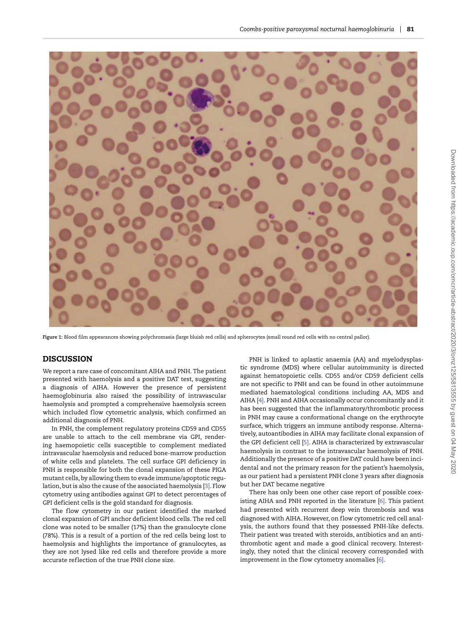

<span id="page-2-0"></span>Figure 1: Blood film appearances showing polychromasia (large bluish red cells) and spherocytes (small round red cells with no central pallor).

#### DISCUSSION

We report a rare case of concomitant AIHA and PNH. The patient presented with haemolysis and a positive DAT test, suggesting a diagnosis of AIHA. However the presence of persistent haemoglobinuria also raised the possibility of intravascular haemolysis and prompted a comprehensive haemolysis screen which included flow cytometric analysis, which confirmed an additional diagnosis of PNH.

In PNH, the complement regulatory proteins CD59 and CD55 are unable to attach to the cell membrane via GPI, rendering haemopoietic cells susceptible to complement mediated intravascular haemolysis and reduced bone-marrow production of white cells and platelets. The cell surface GPI deficiency in PNH is responsible for both the clonal expansion of these PIGA mutant cells, by allowing them to evade immune/apoptotic regulation, but is also the cause of the associated haemolysis [\[3\].](#page-3-2) Flow cytometry using antibodies against GPI to detect percentages of GPI deficient cells is the gold standard for diagnosis.

The flow cytometry in our patient identified the marked clonal expansion of GPI anchor deficient blood cells. The red cell clone was noted to be smaller (17%) than the granulocyte clone (78%). This is a result of a portion of the red cells being lost to haemolysis and highlights the importance of granulocytes, as they are not lysed like red cells and therefore provide a more accurate ref lection of the true PNH clone size.

PNH is linked to aplastic anaemia (AA) and myelodysplastic syndrome (MDS) where cellular autoimmunity is directed against hematopoietic cells. CD55 and/or CD59 deficient cells are not specific to PNH and can be found in other autoimmune mediated haematological conditions including AA, MDS and AIHA [\[4\].](#page-3-3) PNH and AIHA occasionally occur concomitantly and it has been suggested that the inflammatory/thrombotic process in PNH may cause a conformational change on the erythrocyte surface, which triggers an immune antibody response. Alternatively, autoantibodies in AIHA may facilitate clonal expansion of the GPI deficient cell [\[5\].](#page-3-4) AIHA is characterized by extravascular haemolysis in contrast to the intravascular haemolysis of PNH. Additionally the presence of a positive DAT could have been incidental and not the primary reason for the patient's haemolysis, as our patient had a persistent PNH clone 3 years after diagnosis but her DAT became negative

There has only been one other case report of possible coexisting AIHA and PNH reported in the literature [\[6\].](#page-3-5) This patient had presented with recurrent deep vein thrombosis and was diagnosed with AIHA. However, on f low cytometric red cell analysis, the authors found that they possessed PNH-like defects. Their patient was treated with steroids, antibiotics and an antithrombotic agent and made a good clinical recovery. Interestingly, they noted that the clinical recovery corresponded with improvement in the flow cytometry anomalies  $[6]$ .